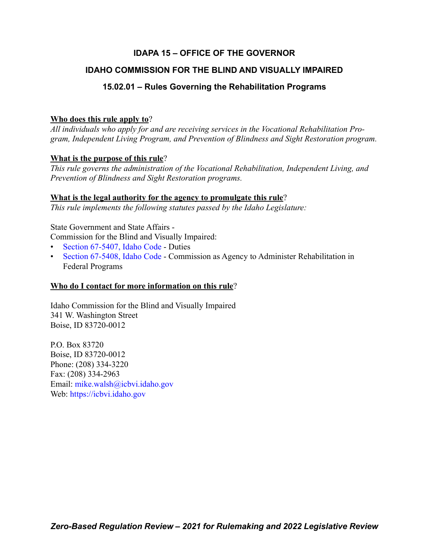# **IDAPA 15 – OFFICE OF THE GOVERNOR**

# **IDAHO COMMISSION FOR THE BLIND AND VISUALLY IMPAIRED**

# **15.02.01 – Rules Governing the Rehabilitation Programs**

# **Who does this rule apply to**?

*All individuals who apply for and are receiving services in the Vocational Rehabilitation Program, Independent Living Program, and Prevention of Blindness and Sight Restoration program.*

# **What is the purpose of this rule**?

*This rule governs the administration of the Vocational Rehabilitation, Independent Living, and Prevention of Blindness and Sight Restoration programs.*

# **What is the legal authority for the agency to promulgate this rule**?

*This rule implements the following statutes passed by the Idaho Legislature:*

State Government and State Affairs -

Commission for the Blind and Visually Impaired:

- [Section 67-5407, Idaho Code](https://legislature.idaho.gov/statutesrules/idstat/Title67/T67CH54/SECT67-5407/)  Duties
- [Section 67-5408, Idaho Code](https://legislature.idaho.gov/statutesrules/idstat/Title67/T67CH54/SECT67-5408/)  Commission as Agency to Administer Rehabilitation in Federal Programs

# **Who do I contact for more information on this rule**?

Idaho Commission for the Blind and Visually Impaired 341 W. Washington Street Boise, ID 83720-0012

P.O. Box 83720 Boise, ID 83720-0012 Phone: (208) 334-3220 Fax: (208) 334-2963 Email: [mike.walsh@icbvi.idaho.gov](mailto:mike.walsh@icbvi.idaho.gov) Web: <https://icbvi.idaho.gov>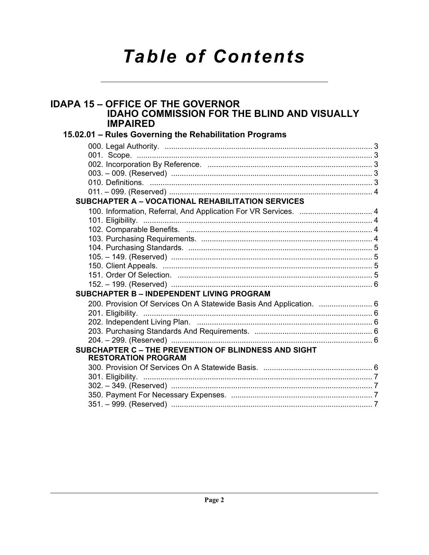# **Table of Contents**

# **IDAPA 15 - OFFICE OF THE GOVERNOR IDAHO COMMISSION FOR THE BLIND AND VISUALLY IMPAIRED** 15.02.01 - Rules Governing the Rehabilitation Programs SUBCHAPTER A - VOCATIONAL REHABILITATION SERVICES **SUBCHAPTER B - INDEPENDENT LIVING PROGRAM** SUBCHAPTER C - THE PREVENTION OF BLINDNESS AND SIGHT **RESTORATION PROGRAM**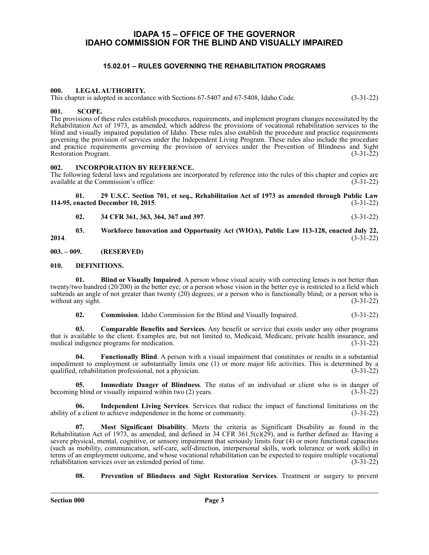# <span id="page-2-0"></span>**IDAPA 15 – OFFICE OF THE GOVERNOR IDAHO COMMISSION FOR THE BLIND AND VISUALLY IMPAIRED**

# **15.02.01 – RULES GOVERNING THE REHABILITATION PROGRAMS**

#### <span id="page-2-2"></span><span id="page-2-1"></span>**000. LEGAL AUTHORITY.**

This chapter is adopted in accordance with Sections 67-5407 and 67-5408, Idaho Code. (3-31-22)

#### <span id="page-2-3"></span>**001. SCOPE.**

The provisions of these rules establish procedures, requirements, and implement program changes necessitated by the Rehabilitation Act of 1973, as amended, which address the provisions of vocational rehabilitation services to the blind and visually impaired population of Idaho. These rules also establish the procedure and practice requirements governing the provision of services under the Independent Living Program. These rules also include the procedure and practice requirements governing the provision of services under the Prevention of Blindness and Sight Restoration Program. (3-31-22) Restoration Program.

#### <span id="page-2-4"></span>**002. INCORPORATION BY REFERENCE.**

The following federal laws and regulations are incorporated by reference into the rules of this chapter and copies are available at the Commission's office: (3-31-22) available at the Commission's office:

**01. 29 U.S.C. Section 701, et seq., Rehabilitation Act of 1973 as amended through Public Law 114-95, enacted December 10, 2015**. (3-31-22)

**02. 34 CFR 361, 363, 364, 367 and 397**. (3-31-22)

**03. Workforce Innovation and Opportunity Act (WIOA), Public Law 113-128, enacted July 22, 2014**. (3-31-22)

<span id="page-2-5"></span>**003. – 009. (RESERVED)**

# <span id="page-2-6"></span>**010. DEFINITIONS.**

**01. Blind or Visually Impaired**. A person whose visual acuity with correcting lenses is not better than twenty/two hundred (20/200) in the better eye; or a person whose vision in the better eye is restricted to a field which subtends an angle of not greater than twenty (20) degrees; or a person who is functionally blind; or a person who is without any sight.  $(3-31-22)$ 

**02. Commission**. Idaho Commission for the Blind and Visually Impaired. (3-31-22)

**03. Comparable Benefits and Services**. Any benefit or service that exists under any other programs that is available to the client. Examples are, but not limited to, Medicaid, Medicare, private health insurance, and medical indigence programs for medication. (3-31-22) medical indigence programs for medication.

**04. Functionally Blind**. A person with a visual impairment that constitutes or results in a substantial impediment to employment or substantially limits one (1) or more major life activities. This is determined by a qualified, rehabilitation professional, not a physician. (3-31-22)

**05. Immediate Danger of Blindness**. The status of an individual or client who is in danger of g blind or visually impaired within two (2) years. (3-31-22) becoming blind or visually impaired within two  $(2)$  years.

**06.** Independent Living Services. Services that reduce the impact of functional limitations on the  $\hat{a}$  client to achieve independence in the home or community. (3-31-22) ability of a client to achieve independence in the home or community.

**07. Most Significant Disability**. Meets the criteria as Significant Disability as found in the Rehabilitation Act of 1973, as amended, and defined in 34 CFR 361.5(c)(29), and is further defined as: Having a severe physical, mental, cognitive, or sensory impairment that seriously limits four (4) or more functional capacities (such as mobility, communication, self-care, self-direction, interpersonal skills, work tolerance or work skills) in terms of an employment outcome, and whose vocational rehabilitation can be expected to require multiple vocational rehabilitation services over an extended period of time. (3-31-22)

**08. Prevention of Blindness and Sight Restoration Services**. Treatment or surgery to prevent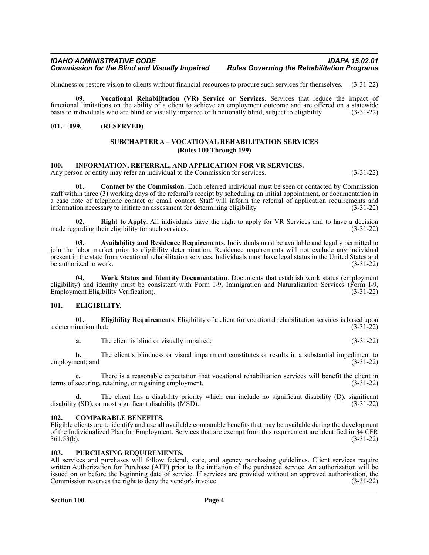#### *IDAHO ADMINISTRATIVE CODE IDAPA 15.02.01 Commission for the Blind and Visually Impaired*

blindness or restore vision to clients without financial resources to procure such services for themselves. (3-31-22)

**09. Vocational Rehabilitation (VR) Service or Services**. Services that reduce the impact of functional limitations on the ability of a client to achieve an employment outcome and are offered on a statewide basis to individuals who are blind or visually impaired or functionally blind, subject to eligibility. (3-31-22)

## <span id="page-3-1"></span><span id="page-3-0"></span>**011. – 099. (RESERVED)**

#### **SUBCHAPTER A – VOCATIONAL REHABILITATION SERVICES (Rules 100 Through 199)**

#### <span id="page-3-2"></span>**100. INFORMATION, REFERRAL, AND APPLICATION FOR VR SERVICES.**

Any person or entity may refer an individual to the Commission for services. (3-31-22)

**01. Contact by the Commission**. Each referred individual must be seen or contacted by Commission staff within three (3) working days of the referral's receipt by scheduling an initial appointment, or documentation in a case note of telephone contact or email contact. Staff will inform the referral of application requirements and information necessary to initiate an assessment for determining eligibility. (3-31-22)

**Right to Apply.** All individuals have the right to apply for VR Services and to have a decision made regarding their eligibility for such services. (3-31-22)

**03. Availability and Residence Requirements**. Individuals must be available and legally permitted to join the labor market prior to eligibility determination. Residence requirements will not exclude any individual present in the state from vocational rehabilitation services. Individuals must have legal status in the United States and be authorized to work.  $(3-31-22)$ 

**04. Work Status and Identity Documentation**. Documents that establish work status (employment eligibility) and identity must be consistent with Form I-9, Immigration and Naturalization Services (Form I-9, Employment Eligibility Verification). (3-31-22)

#### <span id="page-3-3"></span>**101. ELIGIBILITY.**

**01. Eligibility Requirements**. Eligibility of a client for vocational rehabilitation services is based upon  $\alpha$  determination that: (3-31-22)

**a.** The client is blind or visually impaired; (3-31-22)

**b.** The client's blindness or visual impairment constitutes or results in a substantial impediment to employment; and (3-31-22)

**c.** There is a reasonable expectation that vocational rehabilitation services will benefit the client in terms of securing, retaining, or regaining employment. (3-31-22)

The client has a disability priority which can include no significant disability (D), significant rmost significant disability (MSD).  $(3-31-22)$ disability (SD), or most significant disability  $(MSD)$ .

#### <span id="page-3-4"></span>**102. COMPARABLE BENEFITS.**

Eligible clients are to identify and use all available comparable benefits that may be available during the development of the Individualized Plan for Employment. Services that are exempt from this requirement are identified in 34 CFR 361.53(b). (3-31-22)

#### <span id="page-3-5"></span>**103. PURCHASING REQUIREMENTS.**

All services and purchases will follow federal, state, and agency purchasing guidelines. Client services require written Authorization for Purchase (AFP) prior to the initiation of the purchased service. An authorization will be issued on or before the beginning date of service. If services are provided without an approved authorization, the Commission reserves the right to deny the vendor's invoice. (3-31-22)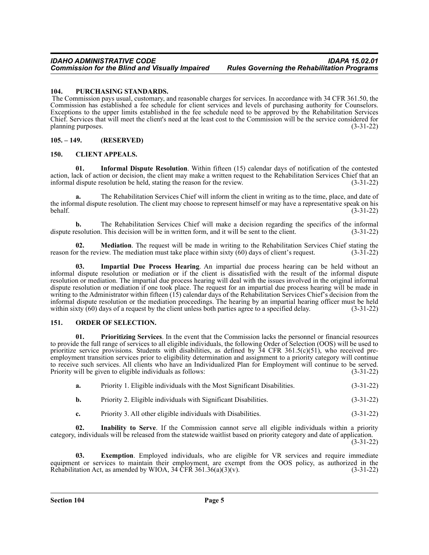## <span id="page-4-0"></span>**104. PURCHASING STANDARDS.**

 The Commission pays usual, customary, and reasonable charges for services. In accordance with 34 CFR 361.50, the Commission has established a fee schedule for client services and levels of purchasing authority for Counselors. Exceptions to the upper limits established in the fee schedule need to be approved by the Rehabilitation Services Chief. Services that will meet the client's need at the least cost to the Commission will be the service considered for planning purposes.

## <span id="page-4-1"></span>**105. – 149. (RESERVED)**

# <span id="page-4-2"></span>**150. CLIENT APPEALS.**

**01. Informal Dispute Resolution**. Within fifteen (15) calendar days of notification of the contested action, lack of action or decision, the client may make a written request to the Rehabilitation Services Chief that an informal dispute resolution be held, stating the reason for the review. (3-31-22)

**a.** The Rehabilitation Services Chief will inform the client in writing as to the time, place, and date of the informal dispute resolution. The client may choose to represent himself or may have a representative speak on his behalf. (3-31-22)

**b.** The Rehabilitation Services Chief will make a decision regarding the specifics of the informal esolution. This decision will be in written form, and it will be sent to the client. (3-31-22) dispute resolution. This decision will be in written form, and it will be sent to the client.

**02. Mediation**. The request will be made in writing to the Rehabilitation Services Chief stating the reason for the review. The mediation must take place within sixty  $(60)$  days of client's request.  $(3-3\overline{1}-22)$ 

**03. Impartial Due Process Hearing**. An impartial due process hearing can be held without an informal dispute resolution or mediation or if the client is dissatisfied with the result of the informal dispute resolution or mediation. The impartial due process hearing will deal with the issues involved in the original informal dispute resolution or mediation if one took place. The request for an impartial due process hearing will be made in writing to the Administrator within fifteen (15) calendar days of the Rehabilitation Services Chief's decision from the informal dispute resolution or the mediation proceedings. The hearing by an impartial hearing officer must be held within sixty (60) days of a request by the client unless both parties agree to a specified delay. (3-31-22)

#### <span id="page-4-3"></span>**151. ORDER OF SELECTION.**

**01. Prioritizing Services**. In the event that the Commission lacks the personnel or financial resources to provide the full range of services to all eligible individuals, the following Order of Selection (OOS) will be used to prioritize service provisions. Students with disabilities, as defined by 34 CFR 361.5(c)(51), who received preemployment transition services prior to eligibility determination and assignment to a priority category will continue to receive such services. All clients who have an Individualized Plan for Employment will continue to be served. Priority will be given to eligible individuals as follows: (3-31-22)

| a. | Priority 1. Eligible individuals with the Most Significant Disabilities. | $(3-31-22)$ |
|----|--------------------------------------------------------------------------|-------------|
|----|--------------------------------------------------------------------------|-------------|

- **b.** Priority 2. Eligible individuals with Significant Disabilities. (3-31-22)
- **c.** Priority 3. All other eligible individuals with Disabilities. (3-31-22)

**02. Inability to Serve**. If the Commission cannot serve all eligible individuals within a priority category, individuals will be released from the statewide waitlist based on priority category and date of application.

(3-31-22)

**03. Exemption**. Employed individuals, who are eligible for VR services and require immediate equipment or services to maintain their employment, are exempt from the OOS policy, as authorized in the Rehabilitation Act, as amended by WIOA, 34 CFR 361.36(a)(3)(v). (3-31-22)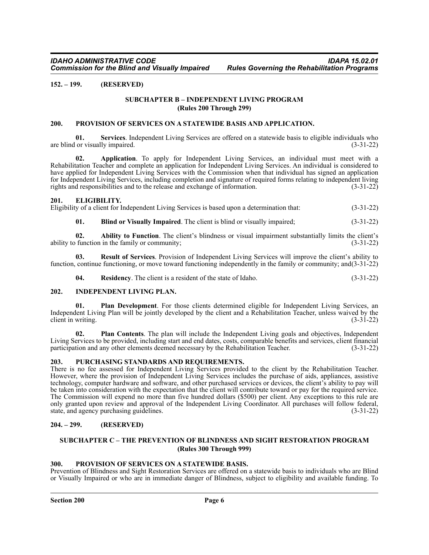# <span id="page-5-1"></span><span id="page-5-0"></span>**152. – 199. (RESERVED)**

# **SUBCHAPTER B – INDEPENDENT LIVING PROGRAM (Rules 200 Through 299)**

#### <span id="page-5-2"></span>**200. PROVISION OF SERVICES ON A STATEWIDE BASIS AND APPLICATION.**

**01. Services**. Independent Living Services are offered on a statewide basis to eligible individuals who are blind or visually impaired. (3-31-22)

**02. Application**. To apply for Independent Living Services, an individual must meet with a Rehabilitation Teacher and complete an application for Independent Living Services. An individual is considered to have applied for Independent Living Services with the Commission when that individual has signed an application for Independent Living Services, including completion and signature of required forms relating to independent living rights and responsibilities and to the release and exchange of information. (3-31-22)

#### <span id="page-5-3"></span>**201. ELIGIBILITY.**

Eligibility of a client for Independent Living Services is based upon a determination that: (3-31-22)

**01. Blind or Visually Impaired**. The client is blind or visually impaired; (3-31-22)

**02. Ability to Function**. The client's blindness or visual impairment substantially limits the client's function in the family or community; ability to function in the family or community;

**03. Result of Services**. Provision of Independent Living Services will improve the client's ability to function, continue functioning, or move toward functioning independently in the family or community; and(3-31-22)

**04. Residency**. The client is a resident of the state of Idaho. (3-31-22)

#### <span id="page-5-4"></span>**202. INDEPENDENT LIVING PLAN.**

**01.** Plan Development. For those clients determined eligible for Independent Living Services, an Independent Living Plan will be jointly developed by the client and a Rehabilitation Teacher, unless waived by the client in writing. (3-31-22)

**02. Plan Contents**. The plan will include the Independent Living goals and objectives, Independent Living Services to be provided, including start and end dates, costs, comparable benefits and services, client financial participation and any other elements deemed necessary by the Rehabilitation Teacher. (3-31-22)

#### <span id="page-5-5"></span>**203. PURCHASING STANDARDS AND REQUIREMENTS.**

There is no fee assessed for Independent Living Services provided to the client by the Rehabilitation Teacher. However, where the provision of Independent Living Services includes the purchase of aids, appliances, assistive technology, computer hardware and software, and other purchased services or devices, the client's ability to pay will be taken into consideration with the expectation that the client will contribute toward or pay for the required service. The Commission will expend no more than five hundred dollars (\$500) per client. Any exceptions to this rule are only granted upon review and approval of the Independent Living Coordinator. All purchases will follow federal, state, and agency purchasing guidelines. (3-31-22)

# <span id="page-5-6"></span>**204. – 299. (RESERVED)**

## <span id="page-5-7"></span>**SUBCHAPTER C – THE PREVENTION OF BLINDNESS AND SIGHT RESTORATION PROGRAM (Rules 300 Through 999)**

#### <span id="page-5-8"></span>**300. PROVISION OF SERVICES ON A STATEWIDE BASIS.**

Prevention of Blindness and Sight Restoration Services are offered on a statewide basis to individuals who are Blind or Visually Impaired or who are in immediate danger of Blindness, subject to eligibility and available funding. To